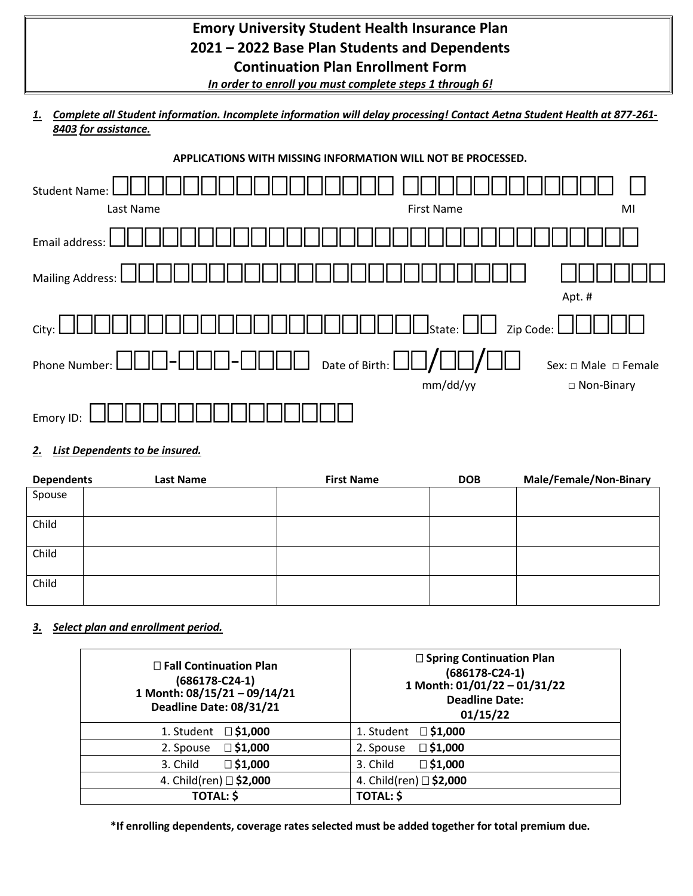## **Emory University Student Health Insurance Plan 2021 – 2022 Base Plan Students and Dependents Continuation Plan Enrollment Form**

*In order to enroll you must complete steps 1 through 6!*

*1. Complete all Student information. Incomplete information will delay processing! Contact Aetna Student Health at 877-261- 8403 for assistance.*



#### *2. List Dependents to be insured.*

| <b>Dependents</b> | Last Name | <b>First Name</b> | <b>DOB</b> | <b>Male/Female/Non-Binary</b> |
|-------------------|-----------|-------------------|------------|-------------------------------|
| Spouse            |           |                   |            |                               |
|                   |           |                   |            |                               |
| Child             |           |                   |            |                               |
|                   |           |                   |            |                               |
| Child             |           |                   |            |                               |
|                   |           |                   |            |                               |
| Child             |           |                   |            |                               |
|                   |           |                   |            |                               |

#### *3. Select plan and enrollment period.*

| □ Fall Continuation Plan<br>(686178-C24-1)<br>1 Month: 08/15/21 - 09/14/21<br>Deadline Date: 08/31/21 | □ Spring Continuation Plan<br>$(686178-C24-1)$<br>1 Month: 01/01/22 - 01/31/22<br><b>Deadline Date:</b><br>01/15/22 |  |
|-------------------------------------------------------------------------------------------------------|---------------------------------------------------------------------------------------------------------------------|--|
| 1. Student                                                                                            | 1. Student                                                                                                          |  |
| $\square$ \$1,000                                                                                     | $\square$ \$1,000                                                                                                   |  |
| $\square$ \$1,000                                                                                     | $\square$ \$1,000                                                                                                   |  |
| 2. Spouse                                                                                             | 2. Spouse                                                                                                           |  |
| $\square$ \$1,000                                                                                     | $\square$ \$1,000                                                                                                   |  |
| 3. Child                                                                                              | 3. Child                                                                                                            |  |
| 4. Child(ren) □ \$2,000                                                                               | 4. Child(ren) □ \$2,000                                                                                             |  |
| <b>TOTAL: \$</b>                                                                                      | <b>TOTAL: \$</b>                                                                                                    |  |

**\*If enrolling dependents, coverage rates selected must be added together for total premium due.**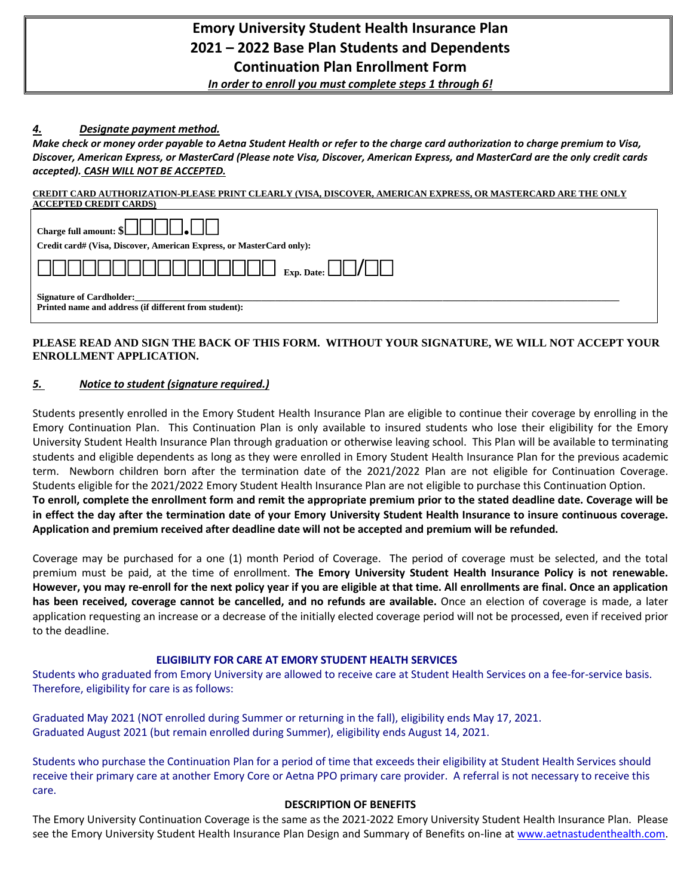### **Emory University Student Health Insurance Plan 2021 – 2022 Base Plan Students and Dependents Continuation Plan Enrollment Form**

*In order to enroll you must complete steps 1 through 6!*

#### *4. Designate payment method.*

*Make check or money order payable to Aetna Student Health or refer to the charge card authorization to charge premium to Visa, Discover, American Express, or MasterCard (Please note Visa, Discover, American Express, and MasterCard are the only credit cards accepted). CASH WILL NOT BE ACCEPTED.*

#### **CREDIT CARD AUTHORIZATION-PLEASE PRINT CLEARLY (VISA, DISCOVER, AMERICAN EXPRESS, OR MASTERCARD ARE THE ONLY ACCEPTED CREDIT CARDS)**

| ACCEL TED CREDIT CARDS!                                                                                                                                                                                                                                                                                                                                                                                                                                      |  |  |  |  |
|--------------------------------------------------------------------------------------------------------------------------------------------------------------------------------------------------------------------------------------------------------------------------------------------------------------------------------------------------------------------------------------------------------------------------------------------------------------|--|--|--|--|
| Charge full amount: $\left[\begin{array}{c c} \begin{array}{ c} \hline \end{array} & \begin{array}{ c c } \hline \end{array} & \begin{array}{ c c } \hline \end{array} & \begin{array}{ c c } \hline \end{array} & \begin{array}{ c c } \hline \end{array} & \begin{array}{ c c } \hline \end{array} & \begin{array}{ c c } \hline \end{array} & \begin{array}{ c c } \hline \end{array} & \begin{array}{ c c } \hline \end{array} & \begin{array}{ c c } \$ |  |  |  |  |
| Credit card# (Visa, Discover, American Express, or MasterCard only):                                                                                                                                                                                                                                                                                                                                                                                         |  |  |  |  |
|                                                                                                                                                                                                                                                                                                                                                                                                                                                              |  |  |  |  |
| <b>Signature of Cardholder:</b><br>Printed name and address (if different from student):                                                                                                                                                                                                                                                                                                                                                                     |  |  |  |  |

#### **PLEASE READ AND SIGN THE BACK OF THIS FORM. WITHOUT YOUR SIGNATURE, WE WILL NOT ACCEPT YOUR ENROLLMENT APPLICATION.**

#### *5. Notice to student (signature required.)*

Students presently enrolled in the Emory Student Health Insurance Plan are eligible to continue their coverage by enrolling in the Emory Continuation Plan. This Continuation Plan is only available to insured students who lose their eligibility for the Emory University Student Health Insurance Plan through graduation or otherwise leaving school. This Plan will be available to terminating students and eligible dependents as long as they were enrolled in Emory Student Health Insurance Plan for the previous academic term. Newborn children born after the termination date of the 2021/2022 Plan are not eligible for Continuation Coverage. Students eligible for the 2021/2022 Emory Student Health Insurance Plan are not eligible to purchase this Continuation Option. **To enroll, complete the enrollment form and remit the appropriate premium prior to the stated deadline date. Coverage will be in effect the day after the termination date of your Emory University Student Health Insurance to insure continuous coverage. Application and premium received after deadline date will not be accepted and premium will be refunded.**

Coverage may be purchased for a one (1) month Period of Coverage. The period of coverage must be selected, and the total premium must be paid, at the time of enrollment. **The Emory University Student Health Insurance Policy is not renewable. However, you may re-enroll for the next policy year if you are eligible at that time. All enrollments are final. Once an application has been received, coverage cannot be cancelled, and no refunds are available.** Once an election of coverage is made, a later application requesting an increase or a decrease of the initially elected coverage period will not be processed, even if received prior to the deadline.

#### **ELIGIBILITY FOR CARE AT EMORY STUDENT HEALTH SERVICES**

Students who graduated from Emory University are allowed to receive care at Student Health Services on a fee-for-service basis. Therefore, eligibility for care is as follows:

Graduated May 2021 (NOT enrolled during Summer or returning in the fall), eligibility ends May 17, 2021. Graduated August 2021 (but remain enrolled during Summer), eligibility ends August 14, 2021.

Students who purchase the Continuation Plan for a period of time that exceeds their eligibility at Student Health Services should receive their primary care at another Emory Core or Aetna PPO primary care provider. A referral is not necessary to receive this care.

#### **DESCRIPTION OF BENEFITS**

The Emory University Continuation Coverage is the same as the 2021-2022 Emory University Student Health Insurance Plan. Please see the Emory University Student Health Insurance Plan Design and Summary of Benefits on-line at [www.aetnastudenthealth.com.](http://www.aetnastudenthealth.com/)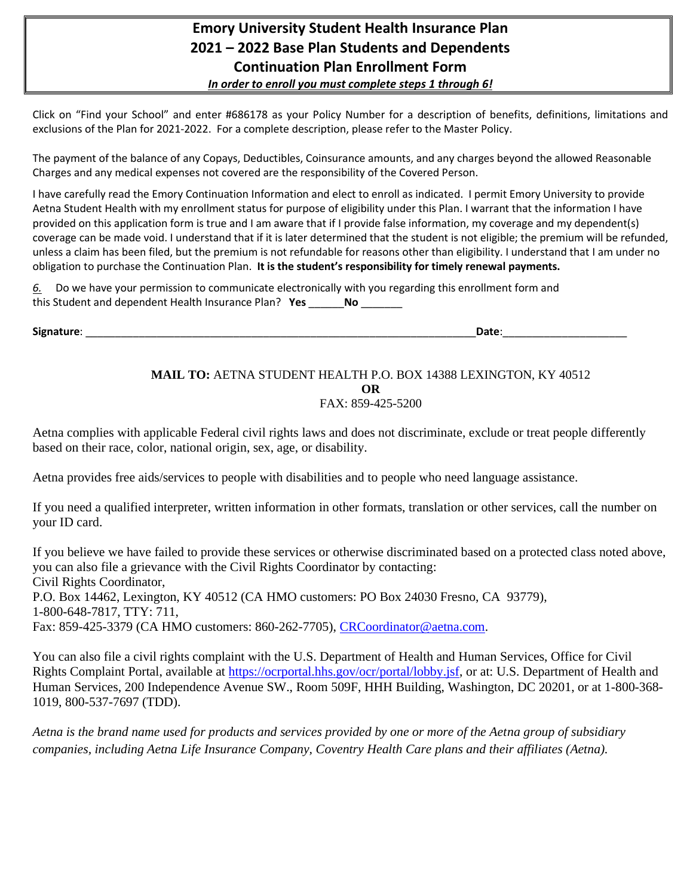### **Emory University Student Health Insurance Plan 2021 – 2022 Base Plan Students and Dependents Continuation Plan Enrollment Form** *In order to enroll you must complete steps 1 through 6!*

Click on "Find your School" and enter #686178 as your Policy Number for a description of benefits, definitions, limitations and exclusions of the Plan for 2021-2022. For a complete description, please refer to the Master Policy.

The payment of the balance of any Copays, Deductibles, Coinsurance amounts, and any charges beyond the allowed Reasonable Charges and any medical expenses not covered are the responsibility of the Covered Person.

I have carefully read the Emory Continuation Information and elect to enroll as indicated. I permit Emory University to provide Aetna Student Health with my enrollment status for purpose of eligibility under this Plan. I warrant that the information I have provided on this application form is true and I am aware that if I provide false information, my coverage and my dependent(s) coverage can be made void. I understand that if it is later determined that the student is not eligible; the premium will be refunded, unless a claim has been filed, but the premium is not refundable for reasons other than eligibility. I understand that I am under no obligation to purchase the Continuation Plan. **It is the student's responsibility for timely renewal payments.** 

| 6. Do we have your permission to communicate electronically with you regarding this enrollment form and |  |  |
|---------------------------------------------------------------------------------------------------------|--|--|
| this Student and dependent Health Insurance Plan? Yes                                                   |  |  |

**Signature**: \_\_\_\_\_\_\_\_\_\_\_\_\_\_\_\_\_\_\_\_\_\_\_\_\_\_\_\_\_\_\_\_\_\_\_\_\_\_\_\_\_\_\_\_\_\_\_\_\_\_\_\_\_\_\_\_\_\_\_\_\_\_\_\_\_\_**Date**:\_\_\_\_\_\_\_\_\_\_\_\_\_\_\_\_\_\_\_\_\_

#### **MAIL TO:** AETNA STUDENT HEALTH P.O. BOX 14388 LEXINGTON, KY 40512 **OR** FAX: 859-425-5200

Aetna complies with applicable Federal civil rights laws and does not discriminate, exclude or treat people differently based on their race, color, national origin, sex, age, or disability.

Aetna provides free aids/services to people with disabilities and to people who need language assistance.

If you need a qualified interpreter, written information in other formats, translation or other services, call the number on your ID card.

If you believe we have failed to provide these services or otherwise discriminated based on a protected class noted above, you can also file a grievance with the Civil Rights Coordinator by contacting: Civil Rights Coordinator, P.O. Box 14462, Lexington, KY 40512 (CA HMO customers: PO Box 24030 Fresno, CA 93779), 1-800-648-7817, TTY: 711, Fax: 859-425-3379 (CA HMO customers: 860-262-7705), [CRCoordinator@aetna.com.](mailto:CRCoordinator@aetna.com)

You can also file a civil rights complaint with the U.S. Department of Health and Human Services, Office for Civil Rights Complaint Portal, available at [https://ocrportal.hhs.gov/ocr/portal/lobby.jsf,](https://ocrportal.hhs.gov/ocr/portal/lobby.jsf) or at: U.S. Department of Health and Human Services, 200 Independence Avenue SW., Room 509F, HHH Building, Washington, DC 20201, or at 1-800-368- 1019, 800-537-7697 (TDD).

*Aetna is the brand name used for products and services provided by one or more of the Aetna group of subsidiary companies, including Aetna Life Insurance Company, Coventry Health Care plans and their affiliates (Aetna).*